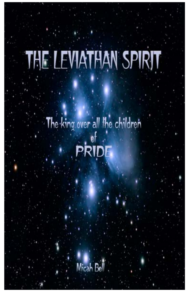# THE LEVIATHAN SPIRIT

The king over all the children of<br>RIDL

Micah Bell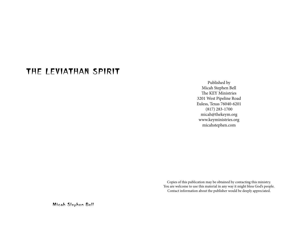# THE LEVIATHAN SPIRIT

Published by Micah Stephen Bell The KEY Ministries 3201 West Pipeline Road Euless, Texas 76040-6201 (817) 283-1700 micah@thekeym.org www.keyministries.org micahstephen.com

Copies of this publication may be obtained by contacting this ministry. You are welcome to use this material in any way it might bless God's people. Contact information about the publisher would be deeply appreciated.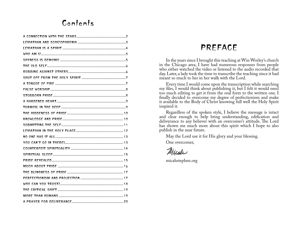# Contents

# PREFACE

In the years since I brought this teaching at Win Worley's church in the Chicago area, I have had numerous responses from people who either watched the video or listened to the audio recorded that day. Later, a lady took the time to transcribe the teaching since it had meant so much to her in her walk with the Lord.

Every time I would come upon the transcription while searching my files, I would think about publishing it, but I felt it would need too much editing to get it from the oral form to the written one. I finally decided to overcome my degree of perfectionism and make it available to the Body of Christ knowing full well the Holy Spirit inspired it.

Regardless of the spoken style, I believe the message is intact and clear enough to help bring understanding, edification and deliverance to any believer with an overcomer's attitude. The Lord has shown me much more about this spirit which I hope to also publish in the near future.

May the Lord use it for His glory and your blessing.

One overcomer,

Micole

micahstephen.org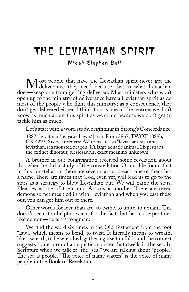# THE LEVIATHAN SPIRIT

#### Micah Stephen Bell

Most people that have the Leviathan spirit never get the<br>s—keep one from getting delivered. Most ministers who won't does—keep one from getting delivered. Most ministers who won't open up to the ministry of deliverance have a Leviathan spirit as do most of the people who fight this ministry; as a consequence, they don't get delivered either. I think that is one of the reasons we don't know as much about this spirit as we could because we don't get to tackle him as much.

Let's start with a word study, beginning in Strong's Concordance:

3882 [livyathan /liv·yaw·thawn/] n m. From 3867; TWOT 1089b; GK 4293; Six occurrences; AV translates as "leviathan" six times. 1 leviathan, sea monster, dragon. 1A large aquatic animal. 1B perhaps the extinct dinosaur, plesiosaurus, exact meaning unknown.

A brother in our congregation received some revelation about this when he did a study of the constellation Orion. He found that in this constellation there are seven stars and each one of them has a name. There are times that God, even yet, will lead us to go to the stars as a strategy to blow Leviathan out. We will name the stars. Pleiades is one of them and Articus is another. There are seven demons sometimes tied in with Leviathan and when you cast these out, you can get him out of there.

Other words for leviathan are: to twine, to unite, to remain. This doesn't seem too helpful except for the fact that he is a serpentinelike demon—he is a strongman.

We find the word six times in the Old Testament from the root "lawa" which means to bend, to twist. It literally means to wreath, like a wreath, to be wreathed, gathering itself in folds and the context suggests some form of an aquatic monster that dwells in the sea. In Scripture when we talk of the "sea," we are talking about "people." The sea is people. "The voice of many waters" is the voice of many people in the Book of Revelation.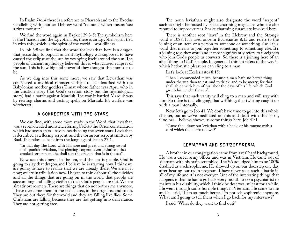<span id="page-4-0"></span>In Psalm 74:14 there is a reference to Pharaoh and to the Exodus paralleling with another Hebrew word "tannon," which means "see a river monster."

We find the word again in Ezekiel 29:3-5: The symbolism here is the Pharaoh and the Egyptian. So, there is an Egyptian spirit tied in with this, which is the spirit of the world—worldliness.

In Job 3:8 we find that the word for leviathan here is a dragon that, according to popular ancient mythology was supposed to have caused the eclipse of the sun by wrapping itself around the sun. The people of ancient mythology believed this is what caused eclipses of the sun. This is how big and powerful they thought this monster to be.

As we dug into this some more, we saw that Leviathan was considered a mythical monster perhaps to be identified with the Babylonian mother goddess Timat whose father was Apsu who in the creation story (not God's creation story but the mythological story) had a battle against Marduk. The way it battled Marduk was by reciting charms and casting spells on Marduk. It's warfare was witchcraft.

#### A CONNECTION WITH THE STARS

We can find, with some more study in the Word, that leviathan was a seven-headed monster, referring back to the Orion constellation which had seven stars—seven-heads being the seven stars. Leviathan is described as a fleeing serpent and the torturous serpent smitten by Baal. This takes us back into the language of Isaiah 27:1.

"In that day The Lord with His sore and great and strong sword shall punish leviathan, the piercing serpent, even leviathan, that crooked serpent; and he shall slay the dragon that is in the sea".

Now see this dragon in the sea, and the sea is people. God is going to slay that dragon and I believe he is starting now. I think we are going to have to realize that we are already there. We are in it now; we are in tribulation now. I began to think about all the suicides and all the things that are going on in the world that people are succumbing and falling victim to that God's people are not. We are already overcomers. There are things that do not bother me anymore. I have overcome them in the sexual area, in the drug area and so on. They are out there for the world and they are falling like flies. Some Christians are falling because they are not getting into deliverance. They are not getting free.

The noun leviathan might also designate the word "serpent" such as might be roused by snake charming magicians who are also reputed to impose curses. Snake charming curses are involved here.

There is another root "lawa" in the Hebrew and the Strong's word is 1087. It is used once in Ecclesiastes 8:15 and refers to the joining of an item or a person to someone or something else. It's a word that means to join together something to something else. It's a joining together word and it most significantly refers to foreigners who join God's people as converts. So, there is a joining here of an alien thing to God's people. In general, I think it refers to the way in which hedonistic pleasures can cling to a man.

Let's look at Ecclesiastes 8:15:

"Then I commended mirth, because a man hath no better thing under the sun than to eat, and to drink, and to be merry; for that shall abide with him of his labor the days of his life, which God giveth him under the sun".

This says that such vanity will cling to a man and will stay with him. So there is that clinging; that writhing; that twisting caught up with a man internally.

Now, let's go to Job 41. We don't have time to go into this whole chapter, but as we've meditated on this and dealt with this spirit, God has, I believe, shown us some things here. Job 41:1:

"Canst thou draw out leviathan with a hook, or his tongue with a cord which thou lettest down?"

#### LEVIATHAN AND SCHIZOPHRENIA

A brother in our congregation came from a real hard background. He was a career army officer and was in Vietnam. He came out of Vietnam with his brain scrambled. The VA adjudged him to be 100% disabled as a schizophrenic. He showed up on our doorstep one day after hearing our radio program. I have never seen such a battle in all of my life and it is not over yet. One of the interesting things that happens is that he has to go back every month to see a psychiatrist to maintain his disability, which I think he deserves, at least for a while. He went through some horrible things in Vietnam. He came to me and he said, "I am so much better. I'm not schizophrenic anymore. What am I going to tell them when I go back for my interview?"

I said "What do they want to find out?"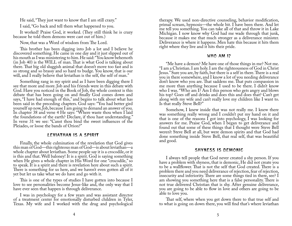<span id="page-5-0"></span>He said, "They just want to know that I am still crazy."

I said, "Go back and tell them what happened to you.

It worked! Praise God, it worked. (They still think he is crazy because he told them demons were cast out of him.)

Now, that was a Word of wisdom from The Lord.

This brother has been digging into Job a lot and I believe he discovered something. He came in one day and it just slipped out of his mouth as I was ministering to him. He said: "You know behemoth (in Job 40) is the WILL of man. That is what God is talking about there. That big old sluggish animal that doesn't move too fast and is so strong and so brassy and so hard to budge. You know, that is our will, and I really believe that leviathan is the self, the self of man."

Something rang in my spirit and as I have been digging there I see that more and more. Job and his friends were in this debate with God. Have you noticed in the Book of Job, the whole context is this debate that has been going on and finally God comes down and says, "I have had enough of this," and begins to talk about what has been said in the preceding chapters. God says: "You had better gird yourself up now, Job, because I am going to demand an answer of you. In chapter 38 and verse 4 He says: "Where waste thou when I laid the foundations of the earth? Declare, if thou hast understanding." In verse 31 we see: "Canst thou bind the sweet influences of the Pleiades, or loose the bands of Orion?"

## LEVIATHAN IS A SPIRIT

Finally, the whole culmination of the revelation that God gives this man of God—this righteous man of God—is about leviathan—a whole chapter about leviathan. Some people say it is a crocodile, or it is this and that. Well baloney! It is a spirit. God is saying something when He gives a whole chapter in His Word for one "crocodile," so to speak. It is a spirit and there is revelation here about such a spirit. There is something for us here, and we haven't even gotten all of it yet but let us take what we do have and go with it.

This is one of the types of studies I have gotten into because I love to see personalities become Jesus-like and, the only way that I have ever seen that happen is through deliverance.

I was in psychology for a few years and was assistant director of a treatment center for emotionally disturbed children in Tyler, Texas. My wife and I worked with the drug and psychological

therapy. We used non-directive counseling, behavior modification, primal scream, hypnosis—the whole bit. I have been there. And let me tell you something. You can take all of that and throw it in Lake Michigan. I now know why God had me wade through that junk, because it makes me that much stronger as a deliverance minister. Deliverance is where it happens. Men hate this because it hits them right where they live and it hits their pride.

#### WHO AM I?

"Me have a demon? Me have one of those things in me? Not me. "I am a Christian. I am holy. I am the righteousness of God in Christ Jesus." Sure you are, by faith, but there is a self in there. There is a real you in there somewhere, and I know a lot of you needing deliverance don't know who you are. That saddens me. That puts compassion in me more than anything because I used to be there. I didn't know who I was. "Who am I? Am I this person who gets angry and blows his top? Goes off and drinks and does this and does that? Can't get along with my wife and can't really love my children like I want to. Is that really Steve Bell?"

Somehow, I knew inside that was not really me. I knew there was something really wrong and I couldn't put my hand on it and that is one of the reasons  $\tilde{I}$  got into psychology,  $\tilde{I}$  was looking for answers for me. Praise God, when I began to get deliverance and found out that some of these things that I thought were Steve Bell weren't Steve Bell at all, but were demon spirits and that God had done something inside Steve Bell, that real self, that was beautiful and good.

#### SHYNESS IS DEMONIC

I always tell people that God never created a shy person. If you have a problem with shyness, that is demonic, He did not create you to be a wallflower. That is not the self that God created. There is a problem there and you need deliverance of rejection, fear of rejection, insecurity and inferiority. There are some things tied in there, see? I am showing you something here that is a false personality. There is not true delivered Christian that is shy. After genuine deliverance, you are going to be able to flow in love and others are going to be able to love you.

That self, where when you get down there to that true self and to what is going on down there, you will find that's where leviathan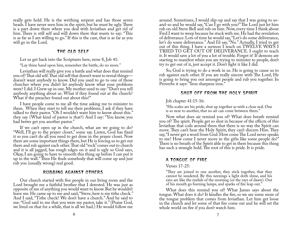<span id="page-6-0"></span>really gets hold. He is the writhing serpent and has those seven heads. I have never seen him in the spirit, but he must be ugly. There is a part down there where you deal with leviathan and get rid of him. There is still self and will down there that wants to say: "This is as far as I am willing to go." If this is the case, that is as far as you will go in the Lord.

#### THE OLD SELF

Let us get back into the Scriptures here, verse 8, Job 41:

"Lay thine hand upon him, remember the battle, do no more."

Leviathan will really give you a battle and what does that remind you of? That old self. That old self that doesn't want to reveal things doesn't want anybody to know. Did you used to go to one of those churches where you didn't let anybody know what your problems were? I did. I Grew up in one. My mother used to say: "Don't you tell anybody anything about us. What if they found out at the church? What if the preacher found out about this?"

I have people come to me all the time asking me to minister to them. When they start to tell me their problems, I ask if they have talked to their pastor. "Oh I wouldn't want him to know about this." they say. (What kind of pastor is that?) And I say: "You know, you had better get you another pastor."

If we can't open up in the church, what are we going to do? "Well, I'll go to the prayer closet," some say. Listen, God has fixed it so you can't do all you need to get done in the prayer closet. Now there are some important things there, but He is forcing us to get out there and rub against each other. That old "rock" comes out to church and it is all jagged, has rough edges on it and is ugly so God says, Okay, I am going to have to smooth this thing up before I can put it up in the wall." Then He finds somebody that will come up and just rub you (usually wrong) real good.

# RUBBING AGAINST OTHERS

Our church started with five people in our living room and the Lord brought me a faithful brother that I detested. He was just as opposite of me of anything you would want to know. But he wouldn't leave me. He came up to me and said, "Steve, here is my tithe check." And I said, "Tithe check? We don't have a church." And he said to me: "God said to me that you were my pastor, take it." (Praise God, we lived on that for a while, that is all we had.) He would follow me

around. Sometimes, I would slip-up and say that I was going to soand-so and he would say, "Can I go with you?" The Lord just let him rub on old Steve Bell and rub on him. Now, every time I think about Fred I want to weep because he stuck with me. He had the revelation of deliverance. Lots of time he would say, "Let's do some deliverance, let's do some deliverance." And I'd say, "No." Actually, I tried to get out of this thing. I have a sermon I teach on TWELVE WAYS I TRIED TO GET OUT OF DELIVERANCE. I ought to teach it. It would save a lot of you a lot of trouble. Forget it! If demons are starting to manifest when you are trying to minister to people, don't try to get out of it, just accept it. Don't fight it like I did.

So, God is trying to do a work in us. He is going to cause us to rub against each other. If you are really sincere with The Lord, He is going to bring you out amongst people and rub you together. In Proverbs it says: "Iron sharpens iron."

# SHUT OFF FROM THE HOLY SPIRIT

## Job chapter 41:15-16:

"His scales are his pride, shut up together as with a close seal. One is so near to another, that no air can come between them."

Now what does air remind you of? What does breath remind you of? The spirit. People get so shut in because of the effects of this leviathan that coils around them that there is no way the Spirit can move. They can't hear the Holy Spirit, they can't discern Him. They say, "I never get a word from God. How come The Lord never speaks to me? How come I never move in the gifts like some people do?" There is no breath of the Spirit able to get in there because this thing has such a strangle hold. The root of this is pride. It is pride.

# A TONGUE OF FIRE

## Verses 17-25:

"They are joined to one another, they stick together, that they cannot be sundered. By this neezings a light doth shine, and his eyes are like the eyelids of the morning (or the rays of dawn). Out of his mouth go burning lamps, and sparks of fire leap out."

What does this remind you of? What James says about the tongue. What does it do? It kindles the fire, so we see some more of the tongue problem that comes from leviathan. Let him get loose in the church and let some of that fire come out and he will set the whole world on fire if you don't watch him.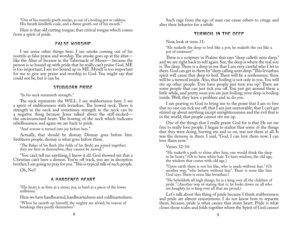<span id="page-7-0"></span>"Out of his nostrils goeth smoke, as out of a boiling pot or caldron. His breath kindleth coals, and a flame goeth out of his mouth."

Here is that old cutting tongue; that critical tongue which comes from a spirit of pride.

## FALSE WORSHIP

I see some other things here. I see smoke coming out of his nostrils as false praise and worship. The smoke goes up at the altar like the Altar of Incense in the Tabernacle of Moses— because the person is so bound up with pride that he really can't praise God. ME is too important; I am too bound up in ME. Myself is too important for me to give any praise and worship to God. You might say that could not be, but it can be.

## STUBBORN PRIDE

"In his neck remaineth strength."

The neck represents the WILL. I see stubbornness here. I see a spirit of stubbornness with leviathan. The bowed neck. There is strength in the neck and sometimes strength in the neck can be a negative thing because Jesus talked about the stiff-necked the uncircumcised heart. The bowing of the neck which indicates rebelliousness and again we are back to pride.

"And sorrow is turned into joy before him."

Actually, that should be dismay. Dismay goes before him. Stubborn people, dismay is what goes before them.

"The flakes of his flesh (the folds of his flesh) are joined together; they are firm in themselves; they cannot be moved."

"You can't tell me anything, I know it all. God showed me that a Christian can't have a demon. You're off track, you are in deception brother, I am going to pray for you." This is typical talk of such people.

Oh, No!!

# A HARDENED HEART

"His heart is as firm as a stone; yea, as hard as a piece of the lower millstone."

Here we have hardhearted, hardheartedness and coldheartedness.

"When he raiseth up himself, the mighty are afraid; by reason of breakings they purify themselves"

Such rage from the ego of man can cause others to cringe and alter their behavior for a while.

# TURMOIL IN THE DEEP

Now, look at verse 31:

"He maketh the deep to boil like a pot; he maketh the sea like a pot of ointment".

There is a scripture in Psalms that says "deep calleth unto deep," and we are right back to self again. See, the deep is where the real you is. The deep. There is a deep in me that I am very careful who I let in there. God can get in there by "deep calling unto deep." This leviathan spirit will cause that deep to boil. There will be a restlessness; there will be a turmoil inside. Also, that boiling is not only in you. You will stir up other people. Ever have people just turn you up? There are some people that can just tick you off. You just get around them a little while, and pretty soon you are just boiling; your deep is boiling inside. Well, they have a problem and so do you.

I am praying to God to bring me to the point that I am so free that no one can tick me off; that I am just unmovable; that I can't get stirred up about anything except unrighteousness and the evil that is in the world; that people cannot stir me up.

One of the things that I really praise God for is that He set me free to really love people. I began to realize that some of the things that they were doing, hurting me and so on, was not them at all. It was the demons in them. I said, "God, I can love them now. I can love them now."

Verses 32-34:

"He maketh a path to shine after him; one would think the deep to be hoary." (Or to have white hair. To have wisdom, the old age, the wisdom that comes with old age.)

"Upon earth there is not his like, who is made without fear." (Or another way, "who behave without fear". There is none like him God says. There is none like leviathan.)

"He beholdeth all high things; he is a king over all the children of pride." (Another way of stating that is: he looks down on all who are haughty, he is king over all that are proud.)

Let's talk about this thing of pride because I think stubbornness and pride are almost synonymous. I do not know how to separate them, because, pride is what causes that stony heart. Pride is what closes those scales and folds together where the Spirit of God cannot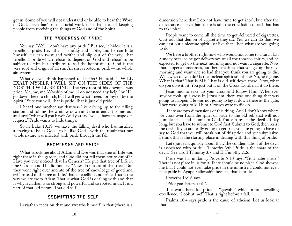<span id="page-8-0"></span>get in. Some of you will not understand or be able to hear the Word of God. Leviathan's most crucial work is in that area of keeping people from receiving the things of God and of the Spirit.

## THE HIDDENESS OF PRIDE

You say, "Well I don't have any pride." But see, it hides. It is a rebellious pride. Leviathan is sneaky and subtle, and he can hide himself. He can twist and writhe and slip out of the way. That rebellious pride which refuses to depend on God and refuses to be subject to Him but attributes to self the honor due to God is the very root and origin of all sin. All sin is rooted in pride—the whole sin system.

What do you think happened to Lucifer? He said, "I WILL EXALT MYSELF, I WILL SIT ON THE SIDES OF THE NORTH, I WILL BE KING." The very root of his downfall was pride. Me, me, me. Worship of me. "I do not need any help," or, "I'll go down there to church, but I will get what I need for myself by the Spirit." Sure you will. That is pride. That is just old pride.

I heard one brother say that was like driving up to the filling station and rolling the window down and the attendant comes out and says: "what will you have?' And you say:" well, I have an unspoken request." Pride wants to hide things.

So in Luke 10:18, we have the falling devil who has instilled a craving to be as God—to be like God—with the result that our whole nature was infected with pride through the fall.

## KNOWLEDGE AND PRIDE

What struck me about Adam and Eve was that tree of Life was right there in the garden, and God did not tell them not to eat of it. Have you ever noticed that In Genesis? He put that tree of Life in the Garden and He did not say: "Now, do not eat of that tree." But they went right over and ate of the tree of knowledge of good and evil instead of the tree of Life. That is rebellion and pride. That is the way we are from Adam. That is what God is dealing with and that is why leviathan is so strong and powerful and so rooted in us. It is a part of that old nature. That old self.

# SUBMITTING THE SELF

Leviathan feeds on that and wreaths himself in that (there is a

dimension here that I do not have time to get into), but after the deliverance of leviathan there is still the crucifixion of self that has to take place.

People want to come all the time to get delivered of cigarettes. Cast out that demon of cigarette they say. Yes, we can do that, we can cast out a nicotine spirit just like that. Then what are you going to do?

We have a brother right now who would not come to church last Sunday because he got deliverance of all the tobacco spirits, and he expected to get up the next morning and not want a cigarette. Now that happens sometimes, but there are times that you get up the next morning and want one so bad that you think you are going to die. Well, what do you do? Is the unclean spirit still there? No, he is gone. What is that? That is ME. That is old self down there. Now, what do you do with it. You just put it on the Cross. Lord, nail it up there.

Jesus said to take up your cross and follow Him. Whenever anyone took up a cross in Jerusalem, there was one thing that was going to happen. He was not going to lay it down there at the gate. They were going to kill him. Crosses were to die on.

There are two dimensions of this thing. And I don't know where we cross over from the spirit of pride to the old self that will not humble itself and submit to God. You can resist the devil all day long, but you have to submit to God first. Submit to God, then resist the devil. If you are really going to get free, you are going to have to say to God that you will break out of this pride and get submissive. I think this is the starting place in dealing with this thing of pride.

Let's just talk quickly about that. The condemnation of the devil is associated with pride. I Timothy 3:6: "Pride is the snare of the devil." See also I Timothy 3:7 and II Timothy 2:26.

Pride was his undoing. Proverbs 8:13 says: "God hates pride." There is not place in us for it. There should be no place. God showed me that I could not even take pride in the ministry. I could not even take pride in Agape Fellowship because that is pride.

Proverbs 16:18 says:

"Pride goes before a fall".

The word here for pride is "gawohn" which means swelling excellence. "Look at me!" That is right before a fall.

Psalms 10:4 says pride is the cause of atheism. Let us look at that.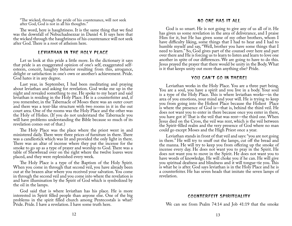<span id="page-9-0"></span>"The wicked, through the pride of his countenance, will not seek after God, God is not in all his thoughts."

The word, here is haughtiness. It is the same thing that we find was the downfall of Nebuchadnezzar in Daniel 4. It says here that the wicked through the haughtiness of his countenance will not seek after God. There is a root of atheism here.

#### LEVIATHAN IN THE HOLY PLACE

Let us look at this pride a little more. In the dictionary it says that pride is an exaggerated opinion of one's self, exaggerated selfesteem, conceit, haughty behavior resulting from this, arrogance, delight or satisfaction in one's own or another's achievement. Pride. God hates it in any degree.

Last year, in September, I had been meditating and praying about leviathan and asking for revelation. God woke me up in the night and revealed something to me. He spoke to my heart and said leviathan is residing in the Holy Place. He is a counterfeiter and, if you remember, in the Tabernacle of Moses there was an outer court and there was a tent-like structure with two rooms in it in the out court area. One of the rooms was the Holy Place and the other was the Holy of Holies. (If you do not understand the Tabernacle you will have problems understanding the Bible because so much of its revelation comes out of that.)

The Holy Place was the place where the priest went in and ministered daily. There were three prices of furniture in there. There was a candlestick which was lit and provided the only light in there. There was an altar of incense where they put the incense for the smoke to go up as a type of prayer and worship to God. There was a table of Shewbread over on the right where the twelve loaves were placed, and they were replenished every week.

The Holy Place is a type of the Baptism of the Holy Spirit. When you come in through that second veil, you have already been out at the brazen altar where you received your salvation. You come in through the second veil and you come into where the revelation is and have illumination by the Spirit of God which is symbolized by the oil in the lamps.

God said that is where leviathan has his place. He is more interested in Spirit filled people than anyone else. One of the big problems in the spirit filled church among Pentecostals is what? Pride. Pride. I have a revelation. I have some truth here.

#### NO ONE HAS IT ALL

God is so smart. He is not going to give any of us all of it. He has given us some revelation in the area of deliverance, and I praise Him for it, but He has given some of my other brothers, whom I have difficulty liking, some things that I had to hear and I had to humble myself and say, "Well, brother you have some things that I need to learn." So, God gives part of the counsel over here and part over there and He is forcing us to learn to listen and learn to love one another in spite of our differences. We are going to have to do this. Jesus prayed the prayer that there would be unity in the Body. What is it that keeps unity out more than anything else? Pride.

#### YOU CAN'T GO IN THERE!

Leviathan works in the Holy Place. You are a three part being. You are a soul, you have a spirit and you live in a body. Your soul is a type of the Holy Place. This is where leviathan works—in the area of you emotions, your mind and your will. He is trying to keep you from going into the Holiest Place because the Holiest Place is where the presence of God is—that is, behind the third veil. He does not want you to enter in there because once you enter in there, you have got it! That is the veil that was rent—the third one. When Jesus died on the Cross, the veil was rent, which is the veil between the Spirit-filled realm and the very presence of God where no man could go except Moses and the High Priest once a year.

Leviathan stands in front of that veil and says: "you are not going in there." He will try to snuff out the lamps, cut off the bread and the manna. He will try to keep you from offering up the smoke of incense every day. He does not want you to pray in the Spirit. He does not want you to move in the Spirit. He does not want you to have words of knowledge. He will choke you if he can. He will give you spiritual deafness and blindness and it will tongue-tie you. This is what he is after. God says leviathan is in the Holy Place and he is a counterfeiter. He has seven heads that imitate the seven lamps of revelation.

#### COUNTERFEIT SPIRITUALITY

We can see from Psalm 74:14 and Job 41:19 that the smoke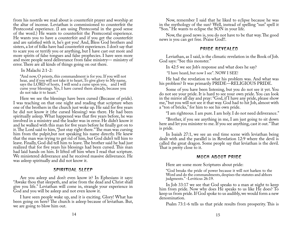<span id="page-10-0"></span>from his nostrils we read about is counterfeit prayer and worship at the altar of incense. Leviathan is commissioned to counterfeit the Pentecostal experience. (I am using Pentecostal in the good sense of the word.) He wants to counterfeit the Pentecostal experience. He wants you to have a counterfeit and if you get the counterfeit and are satisfied with it, he's got you! And, Bless God brothers and sisters, a lot of folks have had counterfeit experiences. I don't say that to scare you or terrify you or anything, but I have cast out more and more spirits of false tongues and false prophecies. I have seen more and more people need deliverance from false ministry— ministry of error. There are all kinds of things going on out there.

In Malachi 2:1-2:

"And now, O priests, this commandment is for you. If you will not hear, and if you will not take it to heart, To give glory to My name, says the LORD of hosts, I will send a curse upon you, and I will curse your blessings. Yes, I have cursed them already, because you do not take it to heart."

Here we see the blessings have been cursed (Because of pride). I was teaching on that one night and reading that scripture when one of the brothers in the church just woke up. He said for five years he did not know it (the cursed blessing) was there. He had been spiritually asleep. What happened was that five years before, he was involved in a ministry and the leader was in error. He didn't know it and he walked with this man for five years before he finally got on to it. The Lord said to him, "Just stay right there." The man was cursing him from the pulpit,but not speaking his name directly. He knew that the man was trying to get rid of him, but God didn't tell him to leave. Finally, God did tell him to leave. The brother said he had just realized that for five years his blessings had been cursed. This man had laid hands on him. It lifted off him when I read that scripture. We ministered deliverance and he received massive deliverance. He was asleep spiritually and did not know it.

# SPIRITUAL SLEEP

Are you asleep and don't even know it? In Ephesians it says: "Awake thou that sleepeth, and arise from the dead and Christ shall give you life." Leviathan will come in, strangle your experience in God and you will be asleep and not even know it.

I have seen people wake up, and it is exciting. Glory! What has been going on here? The church is asleep because of leviathan. But, we are going to blow him out.

Now, remember I said that he liked to eclipse because he was in the mythology of the sun? Well, instead of spelling "sun" spell it "Son." He wants to eclipse the SON in your life.

Now, the good news is, you do not have to be that way. The good news is you can get free. Praise God!!.

# PRIDE REVEALED

Leviathan, as I said, is the climatic revelation in the Book of Job. God says: "See this monster."

In 42:5 we see Job's response and what does he say?

"I have heard, but now I see". NOW I SEE!

He had the revelation to what his problem was. And what was his problem? It was primarily PRIDE—RELIGIOUS PRIDE.

Some of you have been listening, but you do not see it yet. You do not see your pride. It is hard to see your own pride. You can look in the mirror all day and pray: "God, if I have any pride, please show me," but you will not see it that way. God had to hit Job, almost with a "ton of bricks," for him to see his own pride.

"I am righteous. I am pure. I am holy. I do not need deliverance."

"Brother, if you see anything in me, I am just going to sit down here and let you minister to me. If you see anything, cast it out." That is pride.

In Isaiah 27:1, we see an end time scene with leviathan being dealt with and the parallel is in Revelation 12:9 where the devil is called the great dragon. Some people say that leviathan is the devil. That is pretty close to it.

# MUCH ABOUT PRIDE

Here are some more Scriptures about pride:

"God breaks the pride of power because it will not harken to the Word and do the commandments, despises the statutes and abhors judgments." -Leviticus 26:19.

In Job 33:17 we see that God speaks to a man at night to keep him from pride. Now why does He speaks to us like He does? To keep us from pride. If God spoke to us audibly, we would form a new denomination.

Psalm 73:1-6 tells us that pride results from prosperity. This is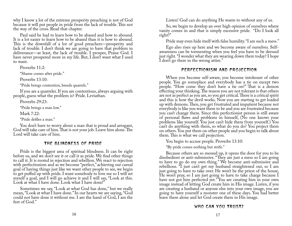<span id="page-11-0"></span>why I know a lot of the extreme prosperity preaching is not of God because it will put people in pride from the lack of trouble. This not the way of the cross. Read that chapter.

Paul said he had to learn how to be abased and how to abound. It is a lot easier to learn how to be abased than it is how to abound. This is the downfall of a lot of good preachers—prosperity and lack of trouble. I don't think we are going to have that problem in deliverance—at least, the lack of trouble. I prosper, Praise God. I have never prospered more in my life. But, I don't want what I used to want.

Proverbs 11:2:

"Shame comes after pride."

Proverbs 13:10:

"Pride brings contention, breeds quarrels."

If you are a quarreler. If you are contentious, always arguing with people, guess what the problem is? Pride. Leviathan.

Proverbs 29:23:

"Pride brings a man low."

Mark 7:22:

"Pride defiles a man."

You don't have to worry about a man that is proud and arrogant, God will take care of him. That is not your job. Leave him alone. The Lord will take care of him.

# THE BLINDNESS OF PRIDE

Pride is the biggest area of spiritual blindness. It can be right before us, and we don't see it or call it as pride. We find other things to call it. It is rooted in rejection and rebellion. We react to rejection with perfectionism and as we become "perfect," achieving our carnal goal of having things just like we want other people to see, we begin to get puffed up with pride. I want somebody to love me so I will set myself a goal, and I will go achieve it and I will say, "Look at this. Look at what I have done. Look what I have done!"

Sometimes we say, "Look at what God has done," but we really mean, "Look at what I have done." In our hearts we are saying, "God could not have done it without me. I am the hand of God, I am the feet of God."

Listen! God can do anything He wants to without any of us.

So, we begin to develop an over high opinion of ourselves where vanity comes in and that is simply excessive pride. "Do I look all right?"

Pride may even hide itself with false humility. "I am such a mess."

Ego also rises up here and we become aware of ourselves. Selfawareness can be tormenting when you feel you have to be dressed just right. "I wonder what they are wearing down there today? I hope I don't go there in the wrong attire."

# PERFECTIONISM AND PROJECTION

When you become self-aware, you become intolerant of other people. You go someplace and everybody has a tie on except two people. "How come they don't have a tie on?" That is a demon effecting your thinking. The reason you are not tolerant is that others are not as perfect as you are, so you get critical. There is a critical spirit and this is how the devil works. Now you are starting to get loaded up with demons. Then, you get frustrated and impatient because not everybody is like you want them to be and you are frustrated because you can't change them. Since this perfectionist person is still aware of personal flaws and problems in himself, (No one knows your problems like yourself. You just can't hide them from yourself.) You can't do anything with them, so what do you do? You project them on others. You put them on other people and you begin to talk about them. This is what we call projection.

You begin to accuse people. Proverbs 13:10:

"By pride comes nothing but strife."

Because others are so messed up, it opens the door for you to be disobedient or anti-submissive. "They are just a mess so I am going to have to go do my own thing." We become anti-submissive and rebellious. "I just can't get my husband straightened out, so I am just going to have to take over. He won't be the priest of the house, He won't pray, so I am just going to have to take charge because I have not got him perfected yet." You are creating him in your own image instead of letting God create him in His image. Listen, if you are creating a husband or anyone else into your own image, you are going to have yourself a monster one of these days. You had better leave them alone and let God create them in His image.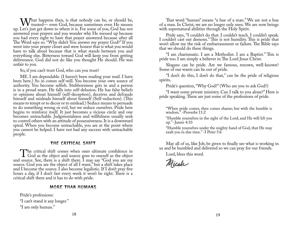<span id="page-12-0"></span>What happens then, is that nobody can be, or should be, trusted— even God, because sometimes even He messes Let's just get down to where it is. For some of you. God has not up. Let's just get down to where it is. For some of you, God has not answered your prayers and you wonder why He messed up because you had every right to have that prayer answered because after all The Word says so. "Why didn't You answer my prayer God?" If you went into your prayer closet and were honest that is what you would have to talk about because that is what stands between you and everything else. Bitterness toward God will keep you from getting deliverance. God did not do like you thought He should. He was unfair to you.

So, if you can't trust God, who can you trust?

ME. I am dependable. (I haven't been reading your mail. I have been here.) So in comes self-will. You become your own source of authority. You become selfish. Stubbornness gets in and a person is in a proud snare. He falls into self-delusion. He has false beliefs or opinions about himself (self-deception), deceives and defrauds himself and misleads himself about himself (Self-seduction). (This means to tempt or to decoy or to mislead.) Seduce means to persuade to do something wrong or evil, but we seduce ourselves. Pride here begins to reinforce itself. It just becomes a vicious circle and one becomes unteachable. Judgmentalness and willfulness usually seek to control others with an attitude of possessiveness. It is a downward spiral. When you become unteachable, you are at the point where you cannot be helped. I have not had any success with unteachable people.

# THE CRITICAL SHIFT

The critical shift comes when ones ultimate confidence in God as the object and source goes to oneself as the object source. See, there is a shift there. I may say "God you are my and source. See, there is a shift there. I may say "God you are my source. God you are the object of all I want," but a shift takes place and I become the source. I also become legalistic. If I don't pray five hours a day, if I don't fast every week it won't be right. There is a critical shift there and it has to do with pride.

# MORE THAN HUMANS

Pride's professions: "I can't stand it any longer." "I am only human."

That word "human" means "a hue of a man." We are not a hue of a man. In Christ, we are no longer only men. We are now beings with supernatural abilities through the Holy Spirit.

Pride says, "I couldn't do that. I couldn't teach. I couldn't speak. I couldn't cast out demons." This is not humility. This is pride that won't allow me the risk of embarrassment or failure. The Bible says that we should do these things.

"I am charismatic. I am a Methodist. I am a Baptist." This is pride too. I am simply a believer in The Lord Jesus Christ.

Slogans can be pride. Are we famous, renown, well-known? Some of our wants can be out of pride.

"I don't do this, I don't do that," can be the pride of religious spirits.

Pride's question, "Why God?" (Who are you to ask God?)

"I want some private ministry. Can I talk to you alone?" Here is pride speaking. These are just some of the professions of pride.

"When pride comes, then comes shame; but with the humble is wisdom." -Proverbs 11:2

"Humble yourselves in the sight of the Lord, and He will lift you up." -James 4:10

"Humble yourselves under the mighty hand of God, that He may exalt you in due time." -I Peter 5:6

May all of us, like Job, be given to finally see what is working in us and be humbled and delivered so we can pray for our friends.

Lord, bless this word.

Micole